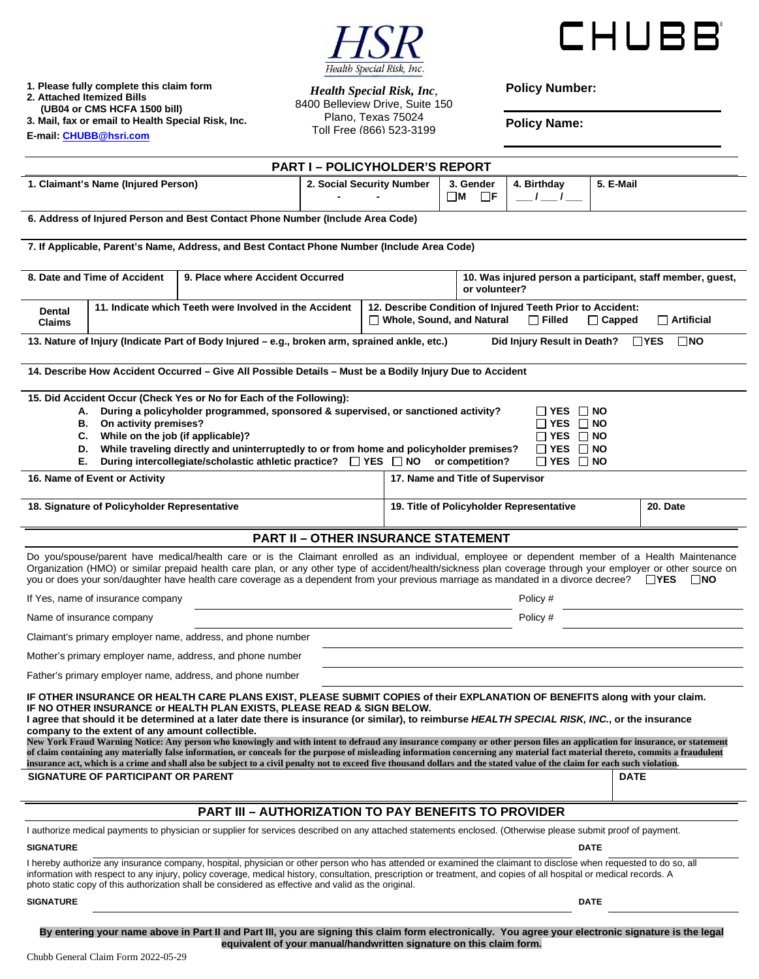



**1. Please fully complete this claim form 2. Attached Itemized Bills** 

 **(UB04 or CMS HCFA 1500 bill)** 

**3. Mail, fax or email to Health Special Risk, Inc. E-mail[: CHUBB@hsri.com](mailto:CHUBB@hsri.com)**

*Health Special Risk, Inc*, 8400 Belleview Drive, Suite 150 Plano, Texas 75024 Toll Free (866) 523-3199

**Policy Number:** 

**Policy Name:** 

|                                                                  |                                                                                                                                                                                                                                                                                                                                                                                                                                                                                                                                                                                                                                                                                                                                                                                                                                                                                                                                                            | <b>PART I-POLICYHOLDER'S REPORT</b>        |  |                                                                                                                                                |                                                                                                                      |                            |  |  |
|------------------------------------------------------------------|------------------------------------------------------------------------------------------------------------------------------------------------------------------------------------------------------------------------------------------------------------------------------------------------------------------------------------------------------------------------------------------------------------------------------------------------------------------------------------------------------------------------------------------------------------------------------------------------------------------------------------------------------------------------------------------------------------------------------------------------------------------------------------------------------------------------------------------------------------------------------------------------------------------------------------------------------------|--------------------------------------------|--|------------------------------------------------------------------------------------------------------------------------------------------------|----------------------------------------------------------------------------------------------------------------------|----------------------------|--|--|
| 1. Claimant's Name (Injured Person)                              |                                                                                                                                                                                                                                                                                                                                                                                                                                                                                                                                                                                                                                                                                                                                                                                                                                                                                                                                                            | 2. Social Security Number                  |  | 3. Gender<br>$\Box$ F<br>$\square$ M                                                                                                           | 4. Birthday<br>$I = I$                                                                                               | 5. E-Mail                  |  |  |
|                                                                  | 6. Address of Injured Person and Best Contact Phone Number (Include Area Code)                                                                                                                                                                                                                                                                                                                                                                                                                                                                                                                                                                                                                                                                                                                                                                                                                                                                             |                                            |  |                                                                                                                                                |                                                                                                                      |                            |  |  |
|                                                                  | 7. If Applicable, Parent's Name, Address, and Best Contact Phone Number (Include Area Code)                                                                                                                                                                                                                                                                                                                                                                                                                                                                                                                                                                                                                                                                                                                                                                                                                                                                |                                            |  |                                                                                                                                                |                                                                                                                      |                            |  |  |
| 8. Date and Time of Accident<br>9. Place where Accident Occurred |                                                                                                                                                                                                                                                                                                                                                                                                                                                                                                                                                                                                                                                                                                                                                                                                                                                                                                                                                            |                                            |  | 10. Was injured person a participant, staff member, guest,<br>or volunteer?                                                                    |                                                                                                                      |                            |  |  |
| <b>Dental</b><br><b>Claims</b>                                   | 11. Indicate which Teeth were Involved in the Accident                                                                                                                                                                                                                                                                                                                                                                                                                                                                                                                                                                                                                                                                                                                                                                                                                                                                                                     |                                            |  | 12. Describe Condition of Injured Teeth Prior to Accident:<br>Whole, Sound, and Natural<br>$\Box$ Filled<br>$\Box$ Capped<br>$\Box$ Artificial |                                                                                                                      |                            |  |  |
|                                                                  | 13. Nature of Injury (Indicate Part of Body Injured – e.g., broken arm, sprained ankle, etc.)                                                                                                                                                                                                                                                                                                                                                                                                                                                                                                                                                                                                                                                                                                                                                                                                                                                              |                                            |  |                                                                                                                                                | Did Injury Result in Death?                                                                                          | $\square$ NO<br>$\Box$ YES |  |  |
|                                                                  | 14. Describe How Accident Occurred - Give All Possible Details - Must be a Bodily Injury Due to Accident                                                                                                                                                                                                                                                                                                                                                                                                                                                                                                                                                                                                                                                                                                                                                                                                                                                   |                                            |  |                                                                                                                                                |                                                                                                                      |                            |  |  |
| А.<br>В.<br>C.<br>D.<br>Е.                                       | 15. Did Accident Occur (Check Yes or No for Each of the Following):<br>During a policyholder programmed, sponsored & supervised, or sanctioned activity?<br>On activity premises?<br>While on the job (if applicable)?<br>While traveling directly and uninterruptedly to or from home and policyholder premises?<br>During intercollegiate/scholastic athletic practice? □ YES □ NO                                                                                                                                                                                                                                                                                                                                                                                                                                                                                                                                                                       |                                            |  | or competition?                                                                                                                                | $\Box$ YES $\Box$ NO<br>$\Box$ YES $\Box$ NO<br>$\Box$ YES $\Box$ NO<br>$\Box$ YES $\Box$ NO<br>$\Box$ YES $\Box$ NO |                            |  |  |
| 16. Name of Event or Activity                                    |                                                                                                                                                                                                                                                                                                                                                                                                                                                                                                                                                                                                                                                                                                                                                                                                                                                                                                                                                            |                                            |  | 17. Name and Title of Supervisor                                                                                                               |                                                                                                                      |                            |  |  |
| 18. Signature of Policyholder Representative                     |                                                                                                                                                                                                                                                                                                                                                                                                                                                                                                                                                                                                                                                                                                                                                                                                                                                                                                                                                            |                                            |  | 19. Title of Policyholder Representative<br>20. Date                                                                                           |                                                                                                                      |                            |  |  |
|                                                                  |                                                                                                                                                                                                                                                                                                                                                                                                                                                                                                                                                                                                                                                                                                                                                                                                                                                                                                                                                            | <b>PART II - OTHER INSURANCE STATEMENT</b> |  |                                                                                                                                                |                                                                                                                      |                            |  |  |
|                                                                  | Do you/spouse/parent have medical/health care or is the Claimant enrolled as an individual, employee or dependent member of a Health Maintenance<br>Organization (HMO) or similar prepaid health care plan, or any other type of accident/health/sickness plan coverage through your employer or other source on<br>you or does your son/daughter have health care coverage as a dependent from your previous marriage as mandated in a divorce decree? □ YES                                                                                                                                                                                                                                                                                                                                                                                                                                                                                              |                                            |  |                                                                                                                                                |                                                                                                                      | ∣ NO                       |  |  |
| If Yes, name of insurance company                                |                                                                                                                                                                                                                                                                                                                                                                                                                                                                                                                                                                                                                                                                                                                                                                                                                                                                                                                                                            |                                            |  | Policy #                                                                                                                                       |                                                                                                                      |                            |  |  |
| Name of insurance company                                        |                                                                                                                                                                                                                                                                                                                                                                                                                                                                                                                                                                                                                                                                                                                                                                                                                                                                                                                                                            |                                            |  | Policy #                                                                                                                                       |                                                                                                                      |                            |  |  |
| Claimant's primary employer name, address, and phone number      |                                                                                                                                                                                                                                                                                                                                                                                                                                                                                                                                                                                                                                                                                                                                                                                                                                                                                                                                                            |                                            |  |                                                                                                                                                |                                                                                                                      |                            |  |  |
|                                                                  | Mother's primary employer name, address, and phone number                                                                                                                                                                                                                                                                                                                                                                                                                                                                                                                                                                                                                                                                                                                                                                                                                                                                                                  |                                            |  |                                                                                                                                                |                                                                                                                      |                            |  |  |
|                                                                  | Father's primary employer name, address, and phone number                                                                                                                                                                                                                                                                                                                                                                                                                                                                                                                                                                                                                                                                                                                                                                                                                                                                                                  |                                            |  |                                                                                                                                                |                                                                                                                      |                            |  |  |
| SIGNATURE OF PARTICIPANT OR PARENT                               | IF OTHER INSURANCE OR HEALTH CARE PLANS EXIST, PLEASE SUBMIT COPIES of their EXPLANATION OF BENEFITS along with your claim.<br>IF NO OTHER INSURANCE or HEALTH PLAN EXISTS, PLEASE READ & SIGN BELOW.<br>I agree that should it be determined at a later date there is insurance (or similar), to reimburse HEALTH SPECIAL RISK, INC., or the insurance<br>company to the extent of any amount collectible.<br>New York Fraud Warning Notice: Any person who knowingly and with intent to defraud any insurance company or other person files an application for insurance, or statement<br>of claim containing any materially false information, or conceals for the purpose of misleading information concerning any material fact material thereto, commits a fraudulent<br>insurance act, which is a crime and shall also be subject to a civil penalty not to exceed five thousand dollars and the stated value of the claim for each such violation. |                                            |  |                                                                                                                                                |                                                                                                                      | DATE                       |  |  |
|                                                                  | <b>PART III - AUTHORIZATION TO PAY BENEFITS TO PROVIDER</b>                                                                                                                                                                                                                                                                                                                                                                                                                                                                                                                                                                                                                                                                                                                                                                                                                                                                                                |                                            |  |                                                                                                                                                |                                                                                                                      |                            |  |  |
|                                                                  | I authorize medical payments to physician or supplier for services described on any attached statements enclosed. (Otherwise please submit proof of payment.                                                                                                                                                                                                                                                                                                                                                                                                                                                                                                                                                                                                                                                                                                                                                                                               |                                            |  |                                                                                                                                                |                                                                                                                      |                            |  |  |
| <b>SIGNATURE</b>                                                 |                                                                                                                                                                                                                                                                                                                                                                                                                                                                                                                                                                                                                                                                                                                                                                                                                                                                                                                                                            |                                            |  | <b>DATE</b>                                                                                                                                    |                                                                                                                      |                            |  |  |
|                                                                  | I hereby authorize any insurance company, hospital, physician or other person who has attended or examined the claimant to disclose when requested to do so, all<br>information with respect to any injury, policy coverage, medical history, consultation, prescription or treatment, and copies of all hospital or medical records. A<br>photo static copy of this authorization shall be considered as effective and valid as the original.                                                                                                                                                                                                                                                                                                                                                                                                                                                                                                             |                                            |  |                                                                                                                                                |                                                                                                                      |                            |  |  |
| <b>SIGNATURE</b>                                                 |                                                                                                                                                                                                                                                                                                                                                                                                                                                                                                                                                                                                                                                                                                                                                                                                                                                                                                                                                            |                                            |  |                                                                                                                                                |                                                                                                                      | <b>DATE</b>                |  |  |

**By entering your name above in Part II and Part III, you are signing this claim form electronically. You agree your electronic signature is the legal equivalent of your manual/handwritten signature on this claim form.**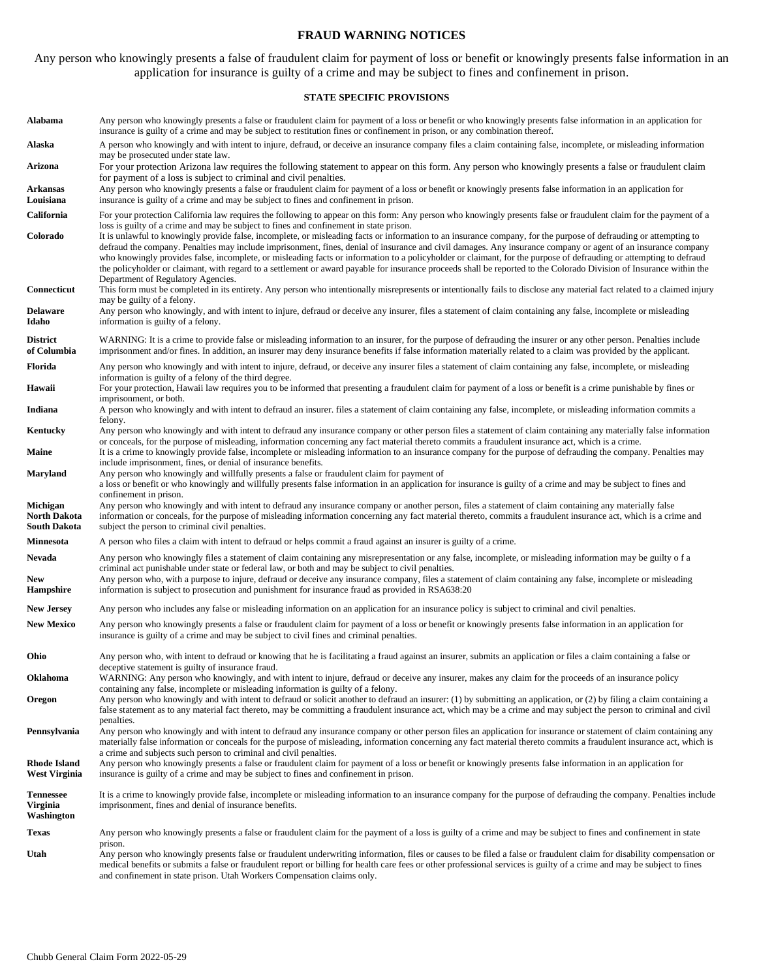#### **FRAUD WARNING NOTICES**

Any person who knowingly presents a false of fraudulent claim for payment of loss or benefit or knowingly presents false information in an application for insurance is guilty of a crime and may be subject to fines and confinement in prison.

#### **STATE SPECIFIC PROVISIONS**

| Alabama                                                | Any person who knowingly presents a false or fraudulent claim for payment of a loss or benefit or who knowingly presents false information in an application for<br>insurance is guilty of a crime and may be subject to restitution fines or confinement in prison, or any combination thereof.                                                                                                                                                                                                                                                                                                                                                                                                                       |
|--------------------------------------------------------|------------------------------------------------------------------------------------------------------------------------------------------------------------------------------------------------------------------------------------------------------------------------------------------------------------------------------------------------------------------------------------------------------------------------------------------------------------------------------------------------------------------------------------------------------------------------------------------------------------------------------------------------------------------------------------------------------------------------|
| Alaska                                                 | A person who knowingly and with intent to injure, defraud, or deceive an insurance company files a claim containing false, incomplete, or misleading information<br>may be prosecuted under state law.                                                                                                                                                                                                                                                                                                                                                                                                                                                                                                                 |
| Arizona                                                | For your protection Arizona law requires the following statement to appear on this form. Any person who knowingly presents a false or fraudulent claim<br>for payment of a loss is subject to criminal and civil penalties.                                                                                                                                                                                                                                                                                                                                                                                                                                                                                            |
| <b>Arkansas</b><br>Louisiana                           | Any person who knowingly presents a false or fraudulent claim for payment of a loss or benefit or knowingly presents false information in an application for<br>insurance is guilty of a crime and may be subject to fines and confinement in prison.                                                                                                                                                                                                                                                                                                                                                                                                                                                                  |
| California                                             | For your protection California law requires the following to appear on this form: Any person who knowingly presents false or fraudulent claim for the payment of a<br>loss is guilty of a crime and may be subject to fines and confinement in state prison.                                                                                                                                                                                                                                                                                                                                                                                                                                                           |
| Colorado                                               | It is unlawful to knowingly provide false, incomplete, or misleading facts or information to an insurance company, for the purpose of defrauding or attempting to<br>defraud the company. Penalties may include imprisonment, fines, denial of insurance and civil damages. Any insurance company or agent of an insurance company<br>who knowingly provides false, incomplete, or misleading facts or information to a policyholder or claimant, for the purpose of defrauding or attempting to defraud<br>the policyholder or claimant, with regard to a settlement or award payable for insurance proceeds shall be reported to the Colorado Division of Insurance within the<br>Department of Regulatory Agencies. |
| Connecticut                                            | This form must be completed in its entirety. Any person who intentionally misrepresents or intentionally fails to disclose any material fact related to a claimed injury<br>may be guilty of a felony.                                                                                                                                                                                                                                                                                                                                                                                                                                                                                                                 |
| <b>Delaware</b><br>Idaho                               | Any person who knowingly, and with intent to injure, defraud or deceive any insurer, files a statement of claim containing any false, incomplete or misleading<br>information is guilty of a felony.                                                                                                                                                                                                                                                                                                                                                                                                                                                                                                                   |
| <b>District</b><br>of Columbia                         | WARNING: It is a crime to provide false or misleading information to an insurer, for the purpose of defrauding the insurer or any other person. Penalties include<br>imprisonment and/or fines. In addition, an insurer may deny insurance benefits if false information materially related to a claim was provided by the applicant.                                                                                                                                                                                                                                                                                                                                                                                  |
| Florida                                                | Any person who knowingly and with intent to injure, defraud, or deceive any insurer files a statement of claim containing any false, incomplete, or misleading<br>information is guilty of a felony of the third degree.                                                                                                                                                                                                                                                                                                                                                                                                                                                                                               |
| Hawaii                                                 | For your protection, Hawaii law requires you to be informed that presenting a fraudulent claim for payment of a loss or benefit is a crime punishable by fines or<br>imprisonment, or both.                                                                                                                                                                                                                                                                                                                                                                                                                                                                                                                            |
| Indiana                                                | A person who knowingly and with intent to defraud an insurer. files a statement of claim containing any false, incomplete, or misleading information commits a<br>felony.                                                                                                                                                                                                                                                                                                                                                                                                                                                                                                                                              |
| Kentucky                                               | Any person who knowingly and with intent to defraud any insurance company or other person files a statement of claim containing any materially false information<br>or conceals, for the purpose of misleading, information concerning any fact material thereto commits a fraudulent insurance act, which is a crime.                                                                                                                                                                                                                                                                                                                                                                                                 |
| Maine                                                  | It is a crime to knowingly provide false, incomplete or misleading information to an insurance company for the purpose of defrauding the company. Penalties may<br>include imprisonment, fines, or denial of insurance benefits.                                                                                                                                                                                                                                                                                                                                                                                                                                                                                       |
| <b>Maryland</b>                                        | Any person who knowingly and willfully presents a false or fraudulent claim for payment of<br>a loss or benefit or who knowingly and willfully presents false information in an application for insurance is guilty of a crime and may be subject to fines and<br>confinement in prison.                                                                                                                                                                                                                                                                                                                                                                                                                               |
| Michigan<br><b>North Dakota</b><br><b>South Dakota</b> | Any person who knowingly and with intent to defraud any insurance company or another person, files a statement of claim containing any materially false<br>information or conceals, for the purpose of misleading information concerning any fact material thereto, commits a fraudulent insurance act, which is a crime and<br>subject the person to criminal civil penalties.                                                                                                                                                                                                                                                                                                                                        |
| <b>Minnesota</b>                                       | A person who files a claim with intent to defraud or helps commit a fraud against an insurer is guilty of a crime.                                                                                                                                                                                                                                                                                                                                                                                                                                                                                                                                                                                                     |
| Nevada                                                 | Any person who knowingly files a statement of claim containing any misrepresentation or any false, incomplete, or misleading information may be guilty of a<br>criminal act punishable under state or federal law, or both and may be subject to civil penalties.                                                                                                                                                                                                                                                                                                                                                                                                                                                      |
| <b>New</b><br>Hampshire                                | Any person who, with a purpose to injure, defraud or deceive any insurance company, files a statement of claim containing any false, incomplete or misleading<br>information is subject to prosecution and punishment for insurance fraud as provided in RSA638:20                                                                                                                                                                                                                                                                                                                                                                                                                                                     |
| <b>New Jersey</b>                                      | Any person who includes any false or misleading information on an application for an insurance policy is subject to criminal and civil penalties.                                                                                                                                                                                                                                                                                                                                                                                                                                                                                                                                                                      |
| <b>New Mexico</b>                                      | Any person who knowingly presents a false or fraudulent claim for payment of a loss or benefit or knowingly presents false information in an application for<br>insurance is guilty of a crime and may be subject to civil fines and criminal penalties.                                                                                                                                                                                                                                                                                                                                                                                                                                                               |
| Ohio                                                   | Any person who, with intent to defraud or knowing that he is facilitating a fraud against an insurer, submits an application or files a claim containing a false or<br>deceptive statement is guilty of insurance fraud.                                                                                                                                                                                                                                                                                                                                                                                                                                                                                               |
| Oklahoma                                               | WARNING: Any person who knowingly, and with intent to injure, defraud or deceive any insurer, makes any claim for the proceeds of an insurance policy<br>containing any false, incomplete or misleading information is guilty of a felony.                                                                                                                                                                                                                                                                                                                                                                                                                                                                             |
| Oregon                                                 | Any person who knowingly and with intent to defraud or solicit another to defraud an insurer: (1) by submitting an application, or (2) by filing a claim containing a<br>false statement as to any material fact thereto, may be committing a fraudulent insurance act, which may be a crime and may subject the person to criminal and civil                                                                                                                                                                                                                                                                                                                                                                          |
| Pennsylvania                                           | penalties.<br>Any person who knowingly and with intent to defraud any insurance company or other person files an application for insurance or statement of claim containing any<br>materially false information or conceals for the purpose of misleading, information concerning any fact material thereto commits a fraudulent insurance act, which is<br>a crime and subjects such person to criminal and civil penalties.                                                                                                                                                                                                                                                                                          |
| <b>Rhode Island</b><br>West Virginia                   | Any person who knowingly presents a false or fraudulent claim for payment of a loss or benefit or knowingly presents false information in an application for<br>insurance is guilty of a crime and may be subject to fines and confinement in prison.                                                                                                                                                                                                                                                                                                                                                                                                                                                                  |
| <b>Tennessee</b><br>Virginia<br>Washington             | It is a crime to knowingly provide false, incomplete or misleading information to an insurance company for the purpose of defrauding the company. Penalties include<br>imprisonment, fines and denial of insurance benefits.                                                                                                                                                                                                                                                                                                                                                                                                                                                                                           |
| <b>Texas</b>                                           | Any person who knowingly presents a false or fraudulent claim for the payment of a loss is guilty of a crime and may be subject to fines and confinement in state                                                                                                                                                                                                                                                                                                                                                                                                                                                                                                                                                      |
| Utah                                                   | prison.<br>Any person who knowingly presents false or fraudulent underwriting information, files or causes to be filed a false or fraudulent claim for disability compensation or<br>medical benefits or submits a false or fraudulent report or billing for health care fees or other professional services is guilty of a crime and may be subject to fines<br>and confinement in state prison. Utah Workers Compensation claims only.                                                                                                                                                                                                                                                                               |
|                                                        |                                                                                                                                                                                                                                                                                                                                                                                                                                                                                                                                                                                                                                                                                                                        |